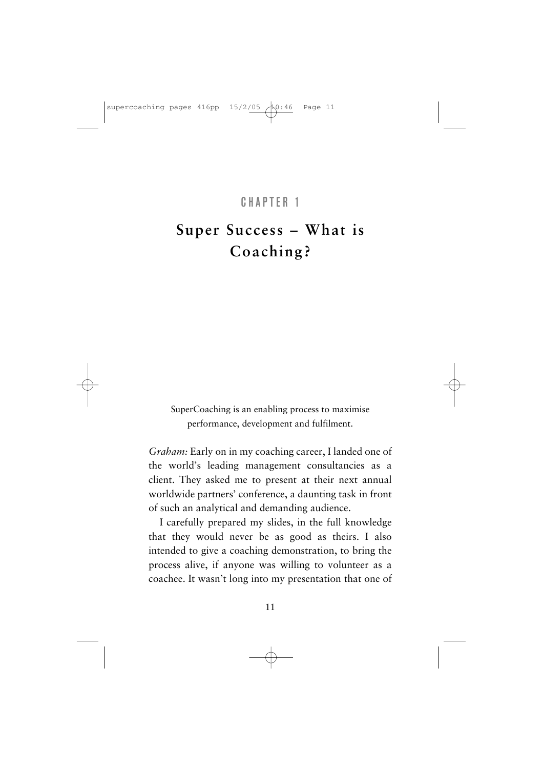#### CHAPTER 1

# **Super Success – What is Coaching?**

SuperCoaching is an enabling process to maximise performance, development and fulfilment.

*Graham:* Early on in my coaching career, I landed one of the world's leading management consultancies as a client. They asked me to present at their next annual worldwide partners' conference, a daunting task in front of such an analytical and demanding audience.

I carefully prepared my slides, in the full knowledge that they would never be as good as theirs. I also intended to give a coaching demonstration, to bring the process alive, if anyone was willing to volunteer as a coachee. It wasn't long into my presentation that one of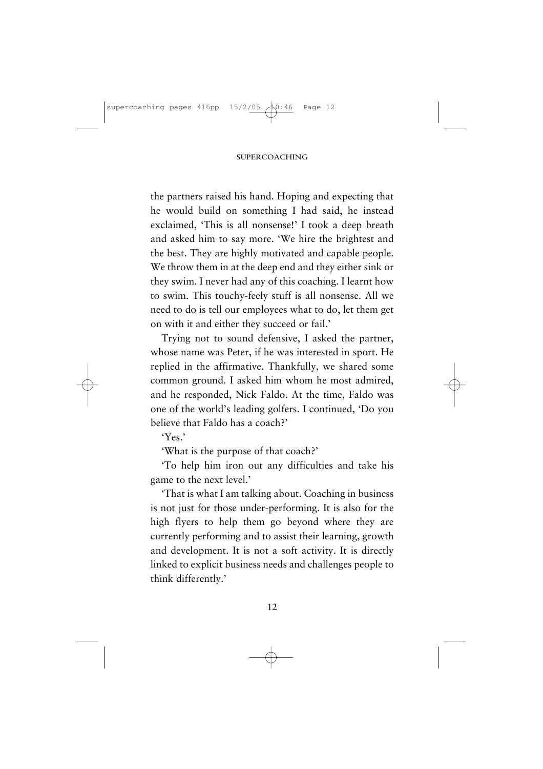the partners raised his hand. Hoping and expecting that he would build on something I had said, he instead exclaimed, 'This is all nonsense!' I took a deep breath and asked him to say more. 'We hire the brightest and the best. They are highly motivated and capable people. We throw them in at the deep end and they either sink or they swim. I never had any of this coaching. I learnt how to swim. This touchy-feely stuff is all nonsense. All we need to do is tell our employees what to do, let them get on with it and either they succeed or fail.'

Trying not to sound defensive, I asked the partner, whose name was Peter, if he was interested in sport. He replied in the affirmative. Thankfully, we shared some common ground. I asked him whom he most admired, and he responded, Nick Faldo. At the time, Faldo was one of the world's leading golfers. I continued, 'Do you believe that Faldo has a coach?'

 $Y_{\text{ex}}$ 

'What is the purpose of that coach?'

'To help him iron out any difficulties and take his game to the next level.'

'That is what I am talking about. Coaching in business is not just for those under-performing. It is also for the high flyers to help them go beyond where they are currently performing and to assist their learning, growth and development. It is not a soft activity. It is directly linked to explicit business needs and challenges people to think differently.'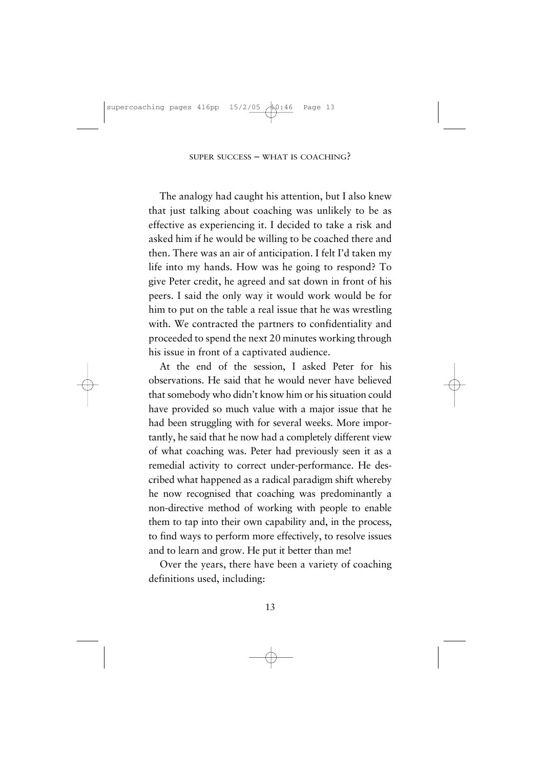The analogy had caught his attention, but I also knew that just talking about coaching was unlikely to be as effective as experiencing it. I decided to take a risk and asked him if he would be willing to be coached there and then. There was an air of anticipation. I felt I'd taken my life into my hands. How was he going to respond? To give Peter credit, he agreed and sat down in front of his peers. I said the only way it would work would be for him to put on the table a real issue that he was wrestling with. We contracted the partners to confidentiality and proceeded to spend the next 20 minutes working through his issue in front of a captivated audience.

At the end of the session, I asked Peter for his observations. He said that he would never have believed that somebody who didn't know him or his situation could have provided so much value with a major issue that he had been struggling with for several weeks. More importantly, he said that he now had a completely different view of what coaching was. Peter had previously seen it as a remedial activity to correct under-performance. He described what happened as a radical paradigm shift whereby he now recognised that coaching was predominantly a non-directive method of working with people to enable them to tap into their own capability and, in the process, to find ways to perform more effectively, to resolve issues and to learn and grow. He put it better than me!

Over the years, there have been a variety of coaching definitions used, including: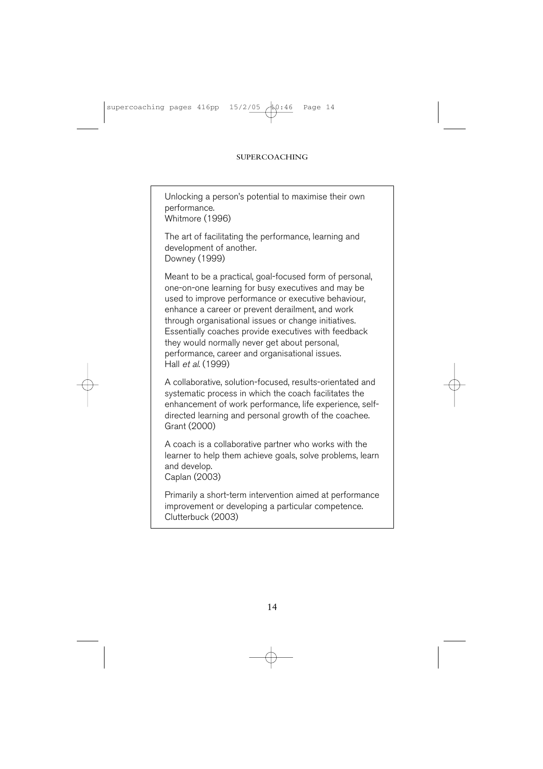Unlocking a person's potential to maximise their own performance. Whitmore (1996)

The art of facilitating the performance, learning and development of another. Downey (1999)

Meant to be a practical, goal-focused form of personal, one-on-one learning for busy executives and may be used to improve performance or executive behaviour, enhance a career or prevent derailment, and work through organisational issues or change initiatives. Essentially coaches provide executives with feedback they would normally never get about personal, performance, career and organisational issues. Hall et al. (1999)

A collaborative, solution-focused, results-orientated and systematic process in which the coach facilitates the enhancement of work performance, life experience, selfdirected learning and personal growth of the coachee. Grant (2000)

A coach is a collaborative partner who works with the learner to help them achieve goals, solve problems, learn and develop.

Caplan (2003)

Primarily a short-term intervention aimed at performance improvement or developing a particular competence. Clutterbuck (2003)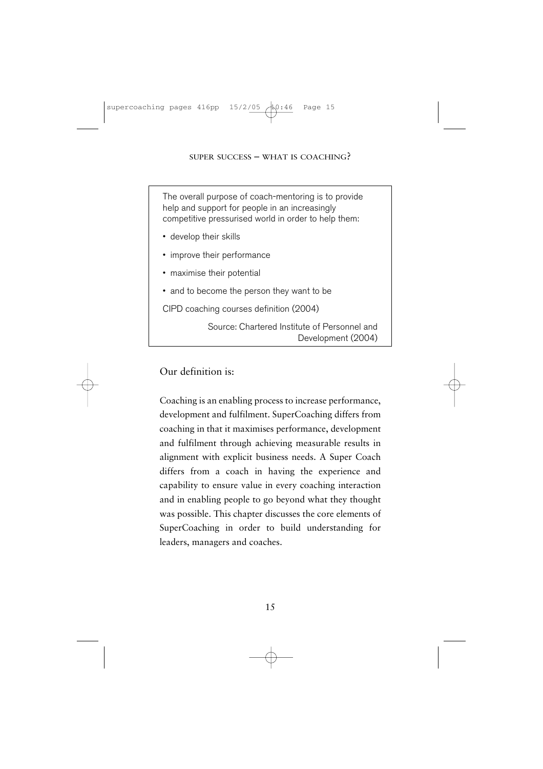The overall purpose of coach-mentoring is to provide help and support for people in an increasingly competitive pressurised world in order to help them:

- develop their skills
- improve their performance
- maximise their potential
- and to become the person they want to be

CIPD coaching courses definition (2004)

Source: Chartered Institute of Personnel and Development (2004)

#### Our definition is:

Coaching is an enabling process to increase performance, development and fulfilment. SuperCoaching differs from coaching in that it maximises performance, development and fulfilment through achieving measurable results in alignment with explicit business needs. A Super Coach differs from a coach in having the experience and capability to ensure value in every coaching interaction and in enabling people to go beyond what they thought was possible. This chapter discusses the core elements of SuperCoaching in order to build understanding for leaders, managers and coaches.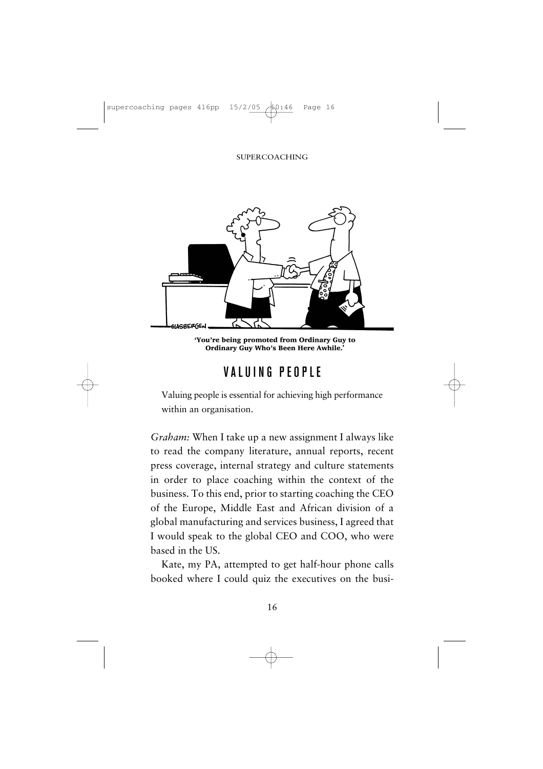#### SUPERCOACHING



'You're being promoted from Ordinary Guy to Ordinary Guy Who's Been Here Awhile.'

## VALUING PEOPLE

Valuing people is essential for achieving high performance within an organisation.

*Graham:* When I take up a new assignment I always like to read the company literature, annual reports, recent press coverage, internal strategy and culture statements in order to place coaching within the context of the business. To this end, prior to starting coaching the CEO of the Europe, Middle East and African division of a global manufacturing and services business, I agreed that I would speak to the global CEO and COO, who were based in the US.

Kate, my PA, attempted to get half-hour phone calls booked where I could quiz the executives on the busi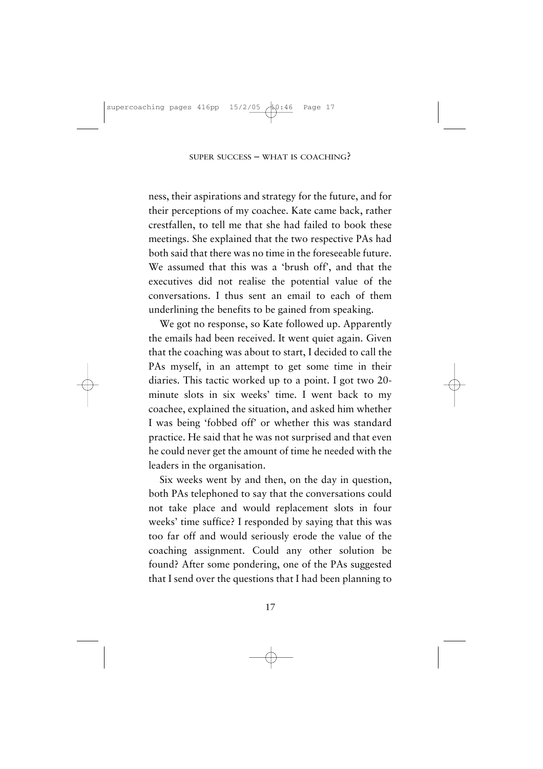ness, their aspirations and strategy for the future, and for their perceptions of my coachee. Kate came back, rather crestfallen, to tell me that she had failed to book these meetings. She explained that the two respective PAs had both said that there was no time in the foreseeable future. We assumed that this was a 'brush off', and that the executives did not realise the potential value of the conversations. I thus sent an email to each of them underlining the benefits to be gained from speaking.

We got no response, so Kate followed up. Apparently the emails had been received. It went quiet again. Given that the coaching was about to start, I decided to call the PAs myself, in an attempt to get some time in their diaries. This tactic worked up to a point. I got two 20 minute slots in six weeks' time. I went back to my coachee, explained the situation, and asked him whether I was being 'fobbed off' or whether this was standard practice. He said that he was not surprised and that even he could never get the amount of time he needed with the leaders in the organisation.

Six weeks went by and then, on the day in question, both PAs telephoned to say that the conversations could not take place and would replacement slots in four weeks' time suffice? I responded by saying that this was too far off and would seriously erode the value of the coaching assignment. Could any other solution be found? After some pondering, one of the PAs suggested that I send over the questions that I had been planning to

17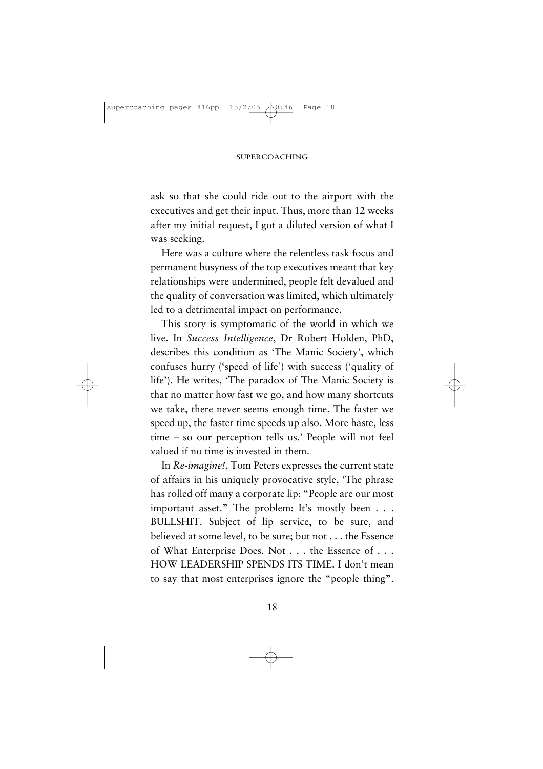ask so that she could ride out to the airport with the executives and get their input. Thus, more than 12 weeks after my initial request, I got a diluted version of what I was seeking.

Here was a culture where the relentless task focus and permanent busyness of the top executives meant that key relationships were undermined, people felt devalued and the quality of conversation was limited, which ultimately led to a detrimental impact on performance.

This story is symptomatic of the world in which we live. In *Success Intelligence*, Dr Robert Holden, PhD, describes this condition as 'The Manic Society', which confuses hurry ('speed of life') with success ('quality of life'). He writes, 'The paradox of The Manic Society is that no matter how fast we go, and how many shortcuts we take, there never seems enough time. The faster we speed up, the faster time speeds up also. More haste, less time – so our perception tells us.' People will not feel valued if no time is invested in them.

In *Re-imagine!*, Tom Peters expresses the current state of affairs in his uniquely provocative style, 'The phrase has rolled off many a corporate lip: "People are our most important asset." The problem: It's mostly been . . . BULLSHIT. Subject of lip service, to be sure, and believed at some level, to be sure; but not . . . the Essence of What Enterprise Does. Not . . . the Essence of . . . HOW LEADERSHIP SPENDS ITS TIME. I don't mean to say that most enterprises ignore the "people thing".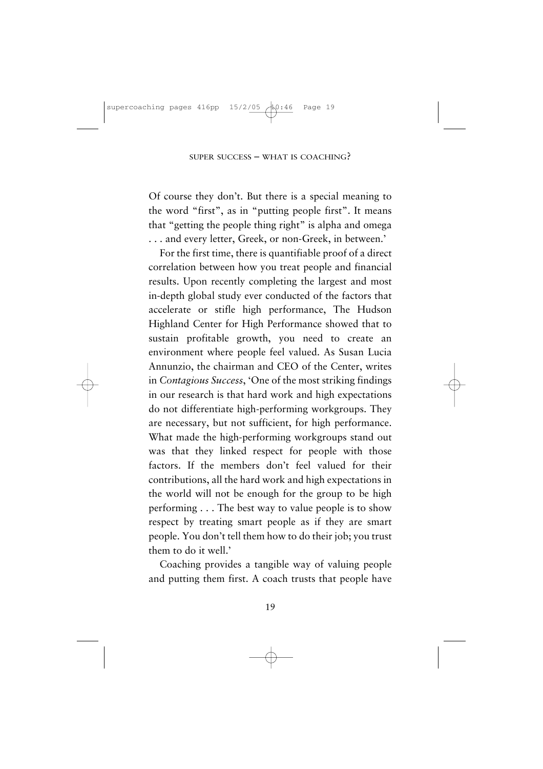Of course they don't. But there is a special meaning to the word "first", as in "putting people first". It means that "getting the people thing right" is alpha and omega . . . and every letter, Greek, or non-Greek, in between.'

For the first time, there is quantifiable proof of a direct correlation between how you treat people and financial results. Upon recently completing the largest and most in-depth global study ever conducted of the factors that accelerate or stifle high performance, The Hudson Highland Center for High Performance showed that to sustain profitable growth, you need to create an environment where people feel valued. As Susan Lucia Annunzio, the chairman and CEO of the Center, writes in *Contagious Success*, 'One of the most striking findings in our research is that hard work and high expectations do not differentiate high-performing workgroups. They are necessary, but not sufficient, for high performance. What made the high-performing workgroups stand out was that they linked respect for people with those factors. If the members don't feel valued for their contributions, all the hard work and high expectations in the world will not be enough for the group to be high performing . . . The best way to value people is to show respect by treating smart people as if they are smart people. You don't tell them how to do their job; you trust them to do it well.'

Coaching provides a tangible way of valuing people and putting them first. A coach trusts that people have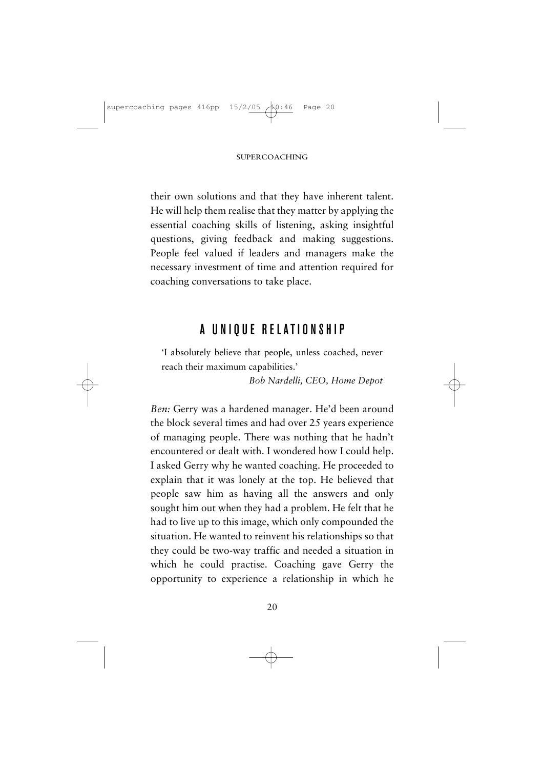their own solutions and that they have inherent talent. He will help them realise that they matter by applying the essential coaching skills of listening, asking insightful questions, giving feedback and making suggestions. People feel valued if leaders and managers make the necessary investment of time and attention required for coaching conversations to take place.

## A UNIQUE RELATIONSHIP

'I absolutely believe that people, unless coached, never reach their maximum capabilities.'

*Bob Nardelli, CEO, Home Depot*

*Ben:* Gerry was a hardened manager. He'd been around the block several times and had over 25 years experience of managing people. There was nothing that he hadn't encountered or dealt with. I wondered how I could help. I asked Gerry why he wanted coaching. He proceeded to explain that it was lonely at the top. He believed that people saw him as having all the answers and only sought him out when they had a problem. He felt that he had to live up to this image, which only compounded the situation. He wanted to reinvent his relationships so that they could be two-way traffic and needed a situation in which he could practise. Coaching gave Gerry the opportunity to experience a relationship in which he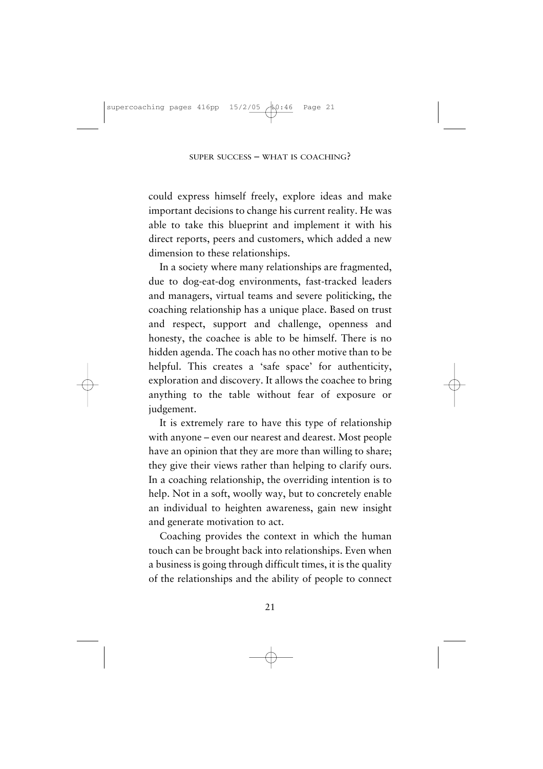could express himself freely, explore ideas and make important decisions to change his current reality. He was able to take this blueprint and implement it with his direct reports, peers and customers, which added a new dimension to these relationships.

In a society where many relationships are fragmented, due to dog-eat-dog environments, fast-tracked leaders and managers, virtual teams and severe politicking, the coaching relationship has a unique place. Based on trust and respect, support and challenge, openness and honesty, the coachee is able to be himself. There is no hidden agenda. The coach has no other motive than to be helpful. This creates a 'safe space' for authenticity, exploration and discovery. It allows the coachee to bring anything to the table without fear of exposure or judgement.

It is extremely rare to have this type of relationship with anyone – even our nearest and dearest. Most people have an opinion that they are more than willing to share; they give their views rather than helping to clarify ours. In a coaching relationship, the overriding intention is to help. Not in a soft, woolly way, but to concretely enable an individual to heighten awareness, gain new insight and generate motivation to act.

Coaching provides the context in which the human touch can be brought back into relationships. Even when a business is going through difficult times, it is the quality of the relationships and the ability of people to connect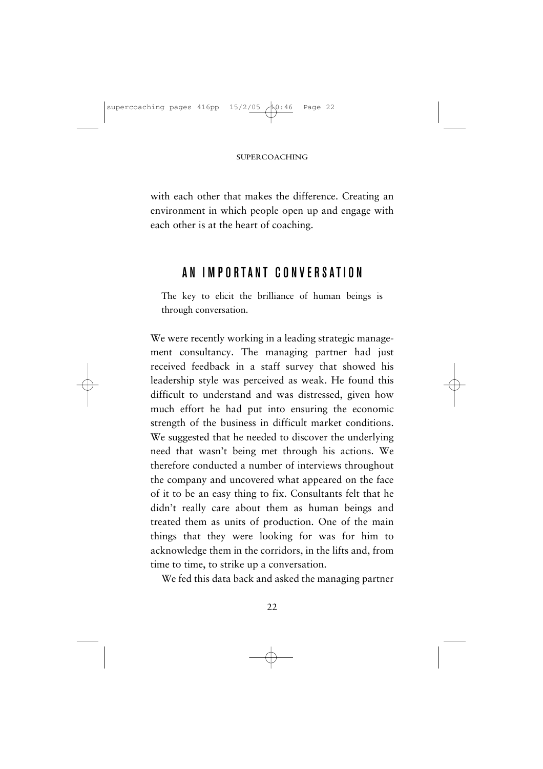with each other that makes the difference. Creating an environment in which people open up and engage with each other is at the heart of coaching.

## AN IMPORTANT CONVE RSATION

The key to elicit the brilliance of human beings is through conversation.

We were recently working in a leading strategic management consultancy. The managing partner had just received feedback in a staff survey that showed his leadership style was perceived as weak. He found this difficult to understand and was distressed, given how much effort he had put into ensuring the economic strength of the business in difficult market conditions. We suggested that he needed to discover the underlying need that wasn't being met through his actions. We therefore conducted a number of interviews throughout the company and uncovered what appeared on the face of it to be an easy thing to fix. Consultants felt that he didn't really care about them as human beings and treated them as units of production. One of the main things that they were looking for was for him to acknowledge them in the corridors, in the lifts and, from time to time, to strike up a conversation.

We fed this data back and asked the managing partner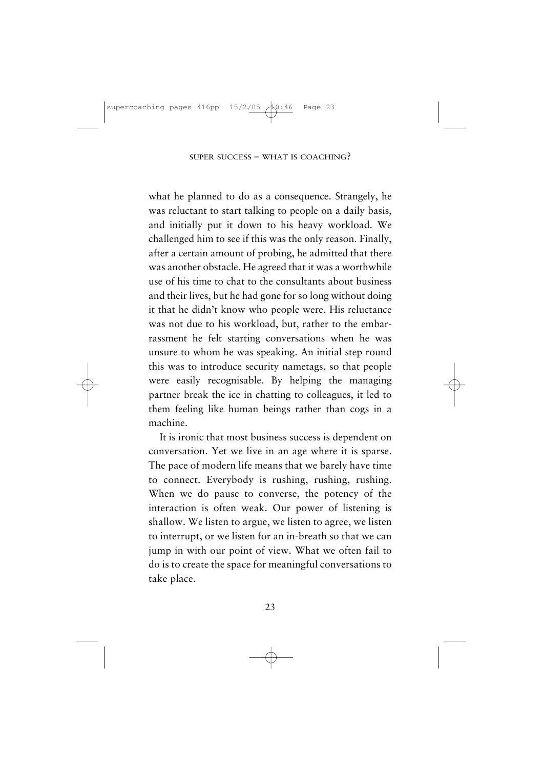what he planned to do as a consequence. Strangely, he was reluctant to start talking to people on a daily basis, and initially put it down to his heavy workload. We challenged him to see if this was the only reason. Finally, after a certain amount of probing, he admitted that there was another obstacle. He agreed that it was a worthwhile use of his time to chat to the consultants about business and their lives, but he had gone for so long without doing it that he didn't know who people were. His reluctance was not due to his workload, but, rather to the embarrassment he felt starting conversations when he was unsure to whom he was speaking. An initial step round this was to introduce security nametags, so that people were easily recognisable. By helping the managing partner break the ice in chatting to colleagues, it led to them feeling like human beings rather than cogs in a machine.

It is ironic that most business success is dependent on conversation. Yet we live in an age where it is sparse. The pace of modern life means that we barely have time to connect. Everybody is rushing, rushing, rushing. When we do pause to converse, the potency of the interaction is often weak. Our power of listening is shallow. We listen to argue, we listen to agree, we listen to interrupt, or we listen for an in-breath so that we can jump in with our point of view. What we often fail to do is to create the space for meaningful conversations to take place.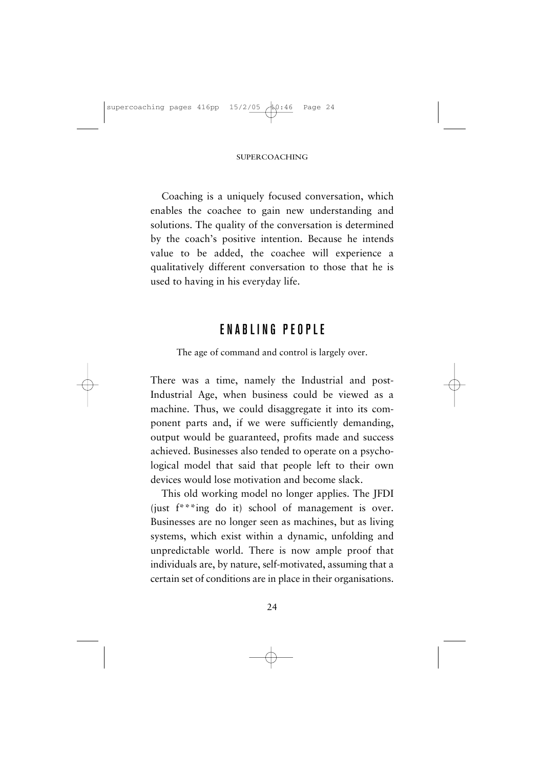Coaching is a uniquely focused conversation, which enables the coachee to gain new understanding and solutions. The quality of the conversation is determined by the coach's positive intention. Because he intends value to be added, the coachee will experience a qualitatively different conversation to those that he is used to having in his everyday life.

#### ENABLING PEOPLE

The age of command and control is largely over.

There was a time, namely the Industrial and post-Industrial Age, when business could be viewed as a machine. Thus, we could disaggregate it into its component parts and, if we were sufficiently demanding, output would be guaranteed, profits made and success achieved. Businesses also tended to operate on a psychological model that said that people left to their own devices would lose motivation and become slack.

This old working model no longer applies. The JFDI (just f\*\*\*ing do it) school of management is over. Businesses are no longer seen as machines, but as living systems, which exist within a dynamic, unfolding and unpredictable world. There is now ample proof that individuals are, by nature, self-motivated, assuming that a certain set of conditions are in place in their organisations.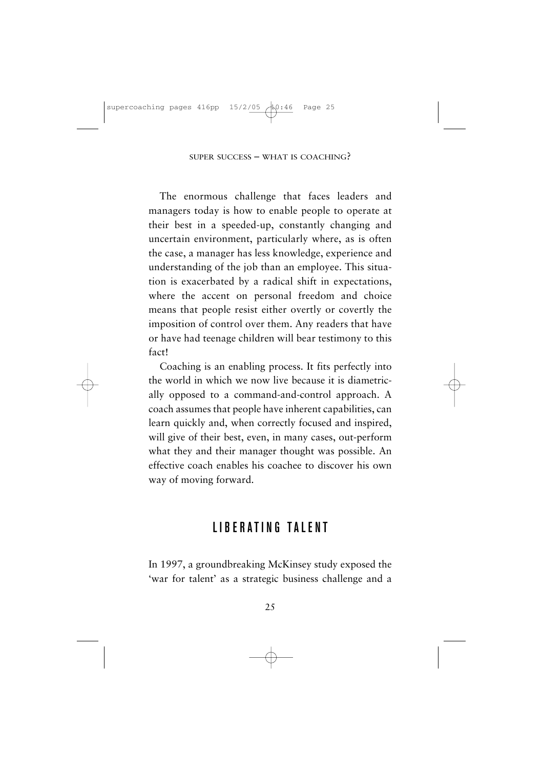The enormous challenge that faces leaders and managers today is how to enable people to operate at their best in a speeded-up, constantly changing and uncertain environment, particularly where, as is often the case, a manager has less knowledge, experience and understanding of the job than an employee. This situation is exacerbated by a radical shift in expectations, where the accent on personal freedom and choice means that people resist either overtly or covertly the imposition of control over them. Any readers that have or have had teenage children will bear testimony to this fact!

Coaching is an enabling process. It fits perfectly into the world in which we now live because it is diametrically opposed to a command-and-control approach. A coach assumes that people have inherent capabilities, can learn quickly and, when correctly focused and inspired, will give of their best, even, in many cases, out-perform what they and their manager thought was possible. An effective coach enables his coachee to discover his own way of moving forward.

#### LIBERATING TALENT

In 1997, a groundbreaking McKinsey study exposed the 'war for talent' as a strategic business challenge and a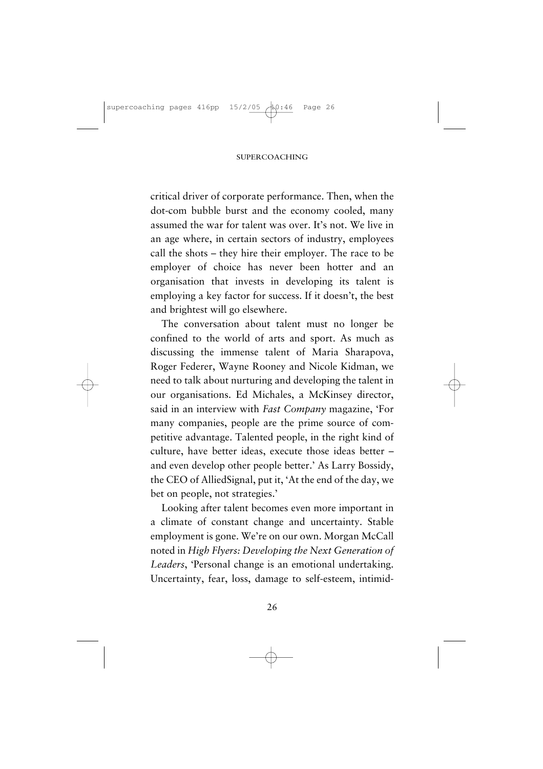critical driver of corporate performance. Then, when the dot-com bubble burst and the economy cooled, many assumed the war for talent was over. It's not. We live in an age where, in certain sectors of industry, employees call the shots – they hire their employer. The race to be employer of choice has never been hotter and an organisation that invests in developing its talent is employing a key factor for success. If it doesn't, the best and brightest will go elsewhere.

The conversation about talent must no longer be confined to the world of arts and sport. As much as discussing the immense talent of Maria Sharapova, Roger Federer, Wayne Rooney and Nicole Kidman, we need to talk about nurturing and developing the talent in our organisations. Ed Michales, a McKinsey director, said in an interview with *Fast Company* magazine, 'For many companies, people are the prime source of competitive advantage. Talented people, in the right kind of culture, have better ideas, execute those ideas better – and even develop other people better.' As Larry Bossidy, the CEO of AlliedSignal, put it, 'At the end of the day, we bet on people, not strategies.'

Looking after talent becomes even more important in a climate of constant change and uncertainty. Stable employment is gone. We're on our own. Morgan McCall noted in *High Flyers: Developing the Next Generation of Leaders*, 'Personal change is an emotional undertaking. Uncertainty, fear, loss, damage to self-esteem, intimid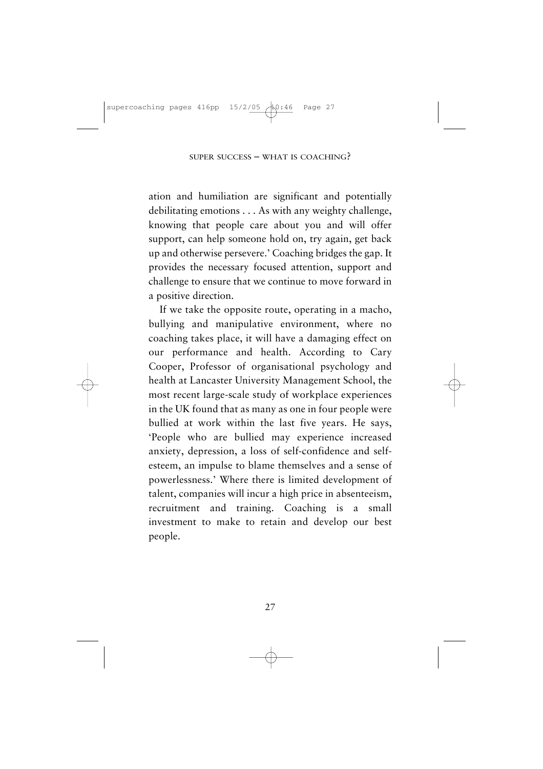ation and humiliation are significant and potentially debilitating emotions . . . As with any weighty challenge, knowing that people care about you and will offer support, can help someone hold on, try again, get back up and otherwise persevere.' Coaching bridges the gap. It provides the necessary focused attention, support and challenge to ensure that we continue to move forward in a positive direction.

If we take the opposite route, operating in a macho, bullying and manipulative environment, where no coaching takes place, it will have a damaging effect on our performance and health. According to Cary Cooper, Professor of organisational psychology and health at Lancaster University Management School, the most recent large-scale study of workplace experiences in the UK found that as many as one in four people were bullied at work within the last five years. He says, 'People who are bullied may experience increased anxiety, depression, a loss of self-confidence and selfesteem, an impulse to blame themselves and a sense of powerlessness.' Where there is limited development of talent, companies will incur a high price in absenteeism, recruitment and training. Coaching is a small investment to make to retain and develop our best people.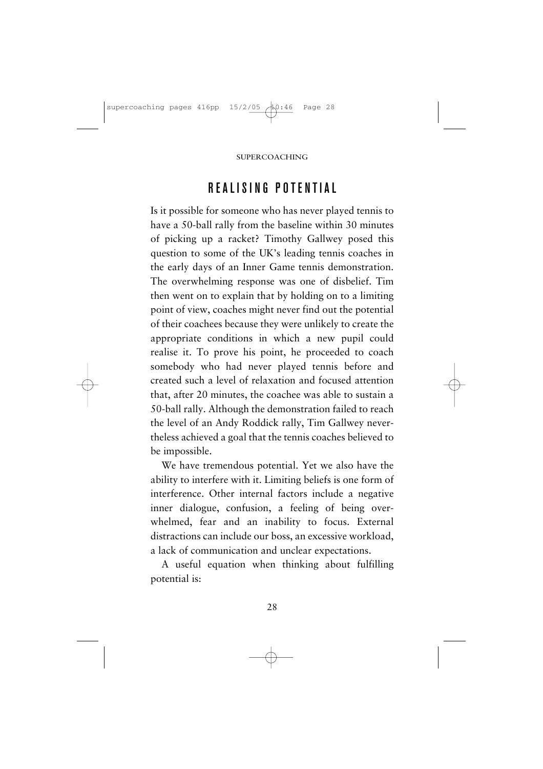# REALISING POTENTIAL

Is it possible for someone who has never played tennis to have a 50-ball rally from the baseline within 30 minutes of picking up a racket? Timothy Gallwey posed this question to some of the UK's leading tennis coaches in the early days of an Inner Game tennis demonstration. The overwhelming response was one of disbelief. Tim then went on to explain that by holding on to a limiting point of view, coaches might never find out the potential of their coachees because they were unlikely to create the appropriate conditions in which a new pupil could realise it. To prove his point, he proceeded to coach somebody who had never played tennis before and created such a level of relaxation and focused attention that, after 20 minutes, the coachee was able to sustain a 50-ball rally. Although the demonstration failed to reach the level of an Andy Roddick rally, Tim Gallwey nevertheless achieved a goal that the tennis coaches believed to be impossible.

We have tremendous potential. Yet we also have the ability to interfere with it. Limiting beliefs is one form of interference. Other internal factors include a negative inner dialogue, confusion, a feeling of being overwhelmed, fear and an inability to focus. External distractions can include our boss, an excessive workload, a lack of communication and unclear expectations.

A useful equation when thinking about fulfilling potential is: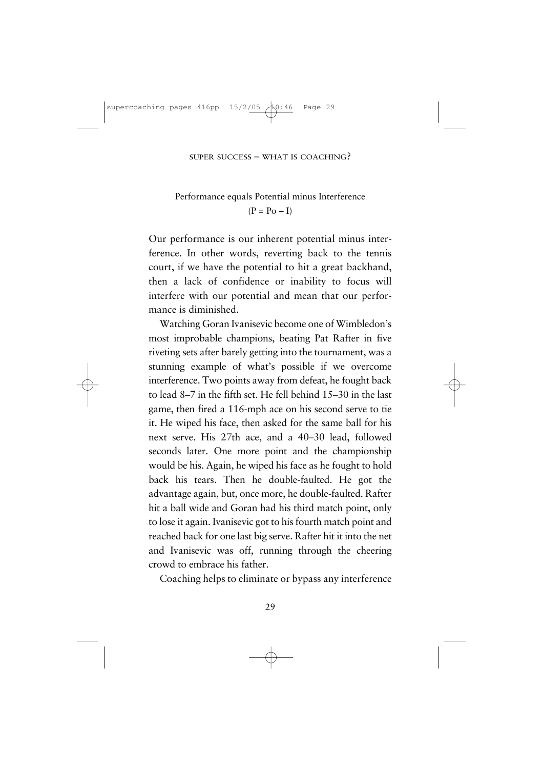#### Performance equals Potential minus Interference  $(P = Po - I)$

Our performance is our inherent potential minus interference. In other words, reverting back to the tennis court, if we have the potential to hit a great backhand, then a lack of confidence or inability to focus will interfere with our potential and mean that our performance is diminished.

Watching Goran Ivanisevic become one of Wimbledon's most improbable champions, beating Pat Rafter in five riveting sets after barely getting into the tournament, was a stunning example of what's possible if we overcome interference. Two points away from defeat, he fought back to lead 8–7 in the fifth set. He fell behind 15–30 in the last game, then fired a 116-mph ace on his second serve to tie it. He wiped his face, then asked for the same ball for his next serve. His 27th ace, and a 40–30 lead, followed seconds later. One more point and the championship would be his. Again, he wiped his face as he fought to hold back his tears. Then he double-faulted. He got the advantage again, but, once more, he double-faulted. Rafter hit a ball wide and Goran had his third match point, only to lose it again. Ivanisevic got to his fourth match point and reached back for one last big serve. Rafter hit it into the net and Ivanisevic was off, running through the cheering crowd to embrace his father.

Coaching helps to eliminate or bypass any interference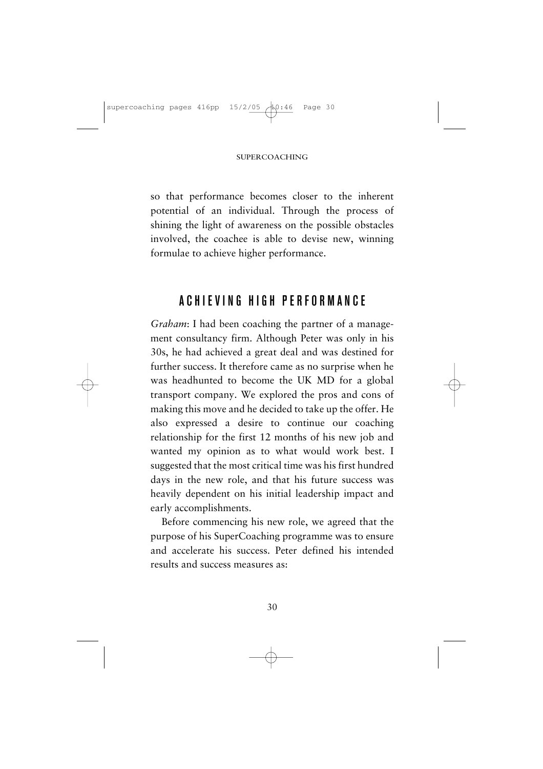so that performance becomes closer to the inherent potential of an individual. Through the process of shining the light of awareness on the possible obstacles involved, the coachee is able to devise new, winning formulae to achieve higher performance.

#### ACH IEVING HIGH PERFORMANCE

*Graham*: I had been coaching the partner of a management consultancy firm. Although Peter was only in his 30s, he had achieved a great deal and was destined for further success. It therefore came as no surprise when he was headhunted to become the UK MD for a global transport company. We explored the pros and cons of making this move and he decided to take up the offer. He also expressed a desire to continue our coaching relationship for the first 12 months of his new job and wanted my opinion as to what would work best. I suggested that the most critical time was his first hundred days in the new role, and that his future success was heavily dependent on his initial leadership impact and early accomplishments.

Before commencing his new role, we agreed that the purpose of his SuperCoaching programme was to ensure and accelerate his success. Peter defined his intended results and success measures as:

30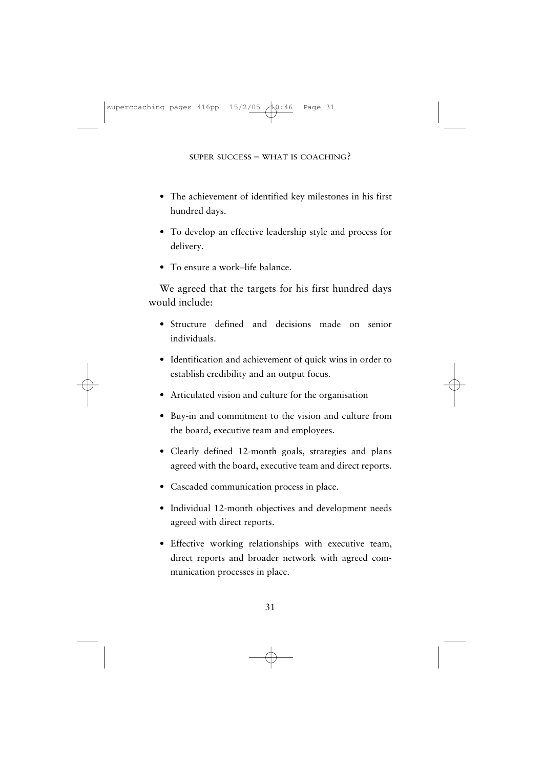- The achievement of identified key milestones in his first hundred days.
- To develop an effective leadership style and process for delivery.
- To ensure a work–life balance.

We agreed that the targets for his first hundred days would include:

- Structure defined and decisions made on senior individuals.
- Identification and achievement of quick wins in order to establish credibility and an output focus.
- Articulated vision and culture for the organisation
- Buy-in and commitment to the vision and culture from the board, executive team and employees.
- Clearly defined 12-month goals, strategies and plans agreed with the board, executive team and direct reports.
- Cascaded communication process in place.
- Individual 12-month objectives and development needs agreed with direct reports.
- Effective working relationships with executive team, direct reports and broader network with agreed communication processes in place.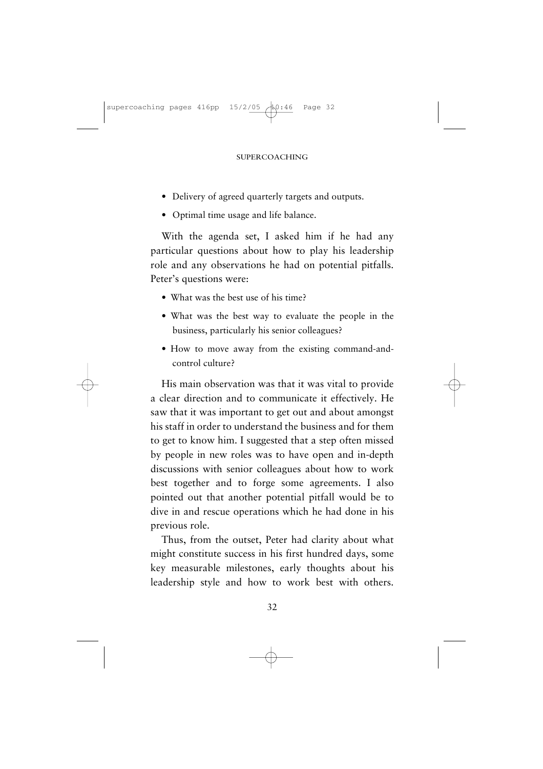- Delivery of agreed quarterly targets and outputs.
- Optimal time usage and life balance.

With the agenda set, I asked him if he had any particular questions about how to play his leadership role and any observations he had on potential pitfalls. Peter's questions were:

- What was the best use of his time?
- What was the best way to evaluate the people in the business, particularly his senior colleagues?
- How to move away from the existing command-andcontrol culture?

His main observation was that it was vital to provide a clear direction and to communicate it effectively. He saw that it was important to get out and about amongst his staff in order to understand the business and for them to get to know him. I suggested that a step often missed by people in new roles was to have open and in-depth discussions with senior colleagues about how to work best together and to forge some agreements. I also pointed out that another potential pitfall would be to dive in and rescue operations which he had done in his previous role.

Thus, from the outset, Peter had clarity about what might constitute success in his first hundred days, some key measurable milestones, early thoughts about his leadership style and how to work best with others.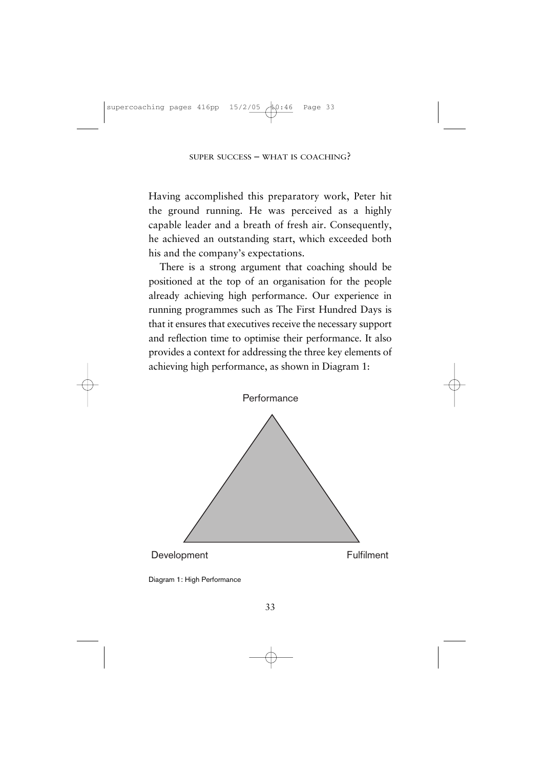Having accomplished this preparatory work, Peter hit the ground running. He was perceived as a highly capable leader and a breath of fresh air. Consequently, he achieved an outstanding start, which exceeded both his and the company's expectations.

There is a strong argument that coaching should be positioned at the top of an organisation for the people already achieving high performance. Our experience in running programmes such as The First Hundred Days is that it ensures that executives receive the necessary support and reflection time to optimise their performance. It also provides a context for addressing the three key elements of achieving high performance, as shown in Diagram 1:



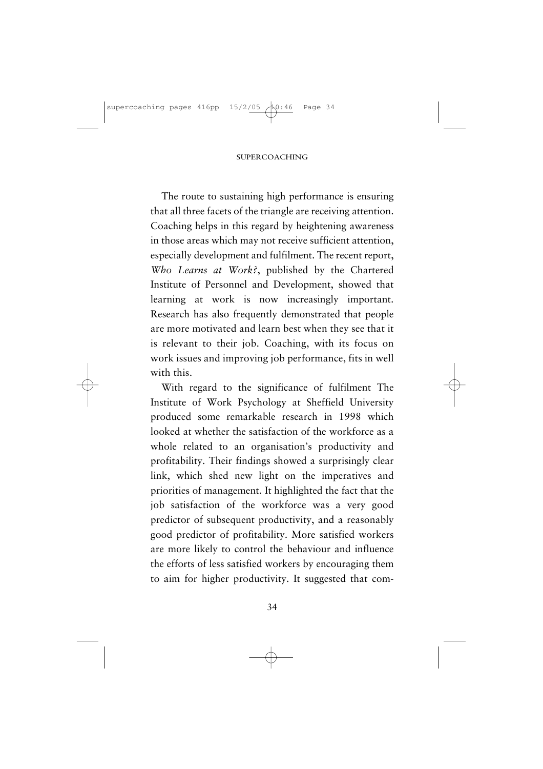The route to sustaining high performance is ensuring that all three facets of the triangle are receiving attention. Coaching helps in this regard by heightening awareness in those areas which may not receive sufficient attention, especially development and fulfilment. The recent report, *Who Learns at Work?*, published by the Chartered Institute of Personnel and Development, showed that learning at work is now increasingly important. Research has also frequently demonstrated that people are more motivated and learn best when they see that it is relevant to their job. Coaching, with its focus on work issues and improving job performance, fits in well with this.

With regard to the significance of fulfilment The Institute of Work Psychology at Sheffield University produced some remarkable research in 1998 which looked at whether the satisfaction of the workforce as a whole related to an organisation's productivity and profitability. Their findings showed a surprisingly clear link, which shed new light on the imperatives and priorities of management. It highlighted the fact that the job satisfaction of the workforce was a very good predictor of subsequent productivity, and a reasonably good predictor of profitability. More satisfied workers are more likely to control the behaviour and influence the efforts of less satisfied workers by encouraging them to aim for higher productivity. It suggested that com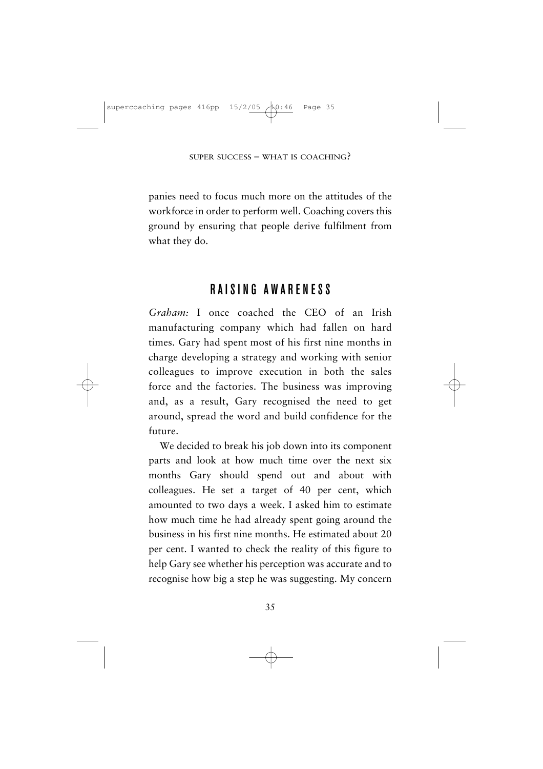panies need to focus much more on the attitudes of the workforce in order to perform well. Coaching covers this ground by ensuring that people derive fulfilment from what they do.

## RAISING AWARENESS

*Graham:* I once coached the CEO of an Irish manufacturing company which had fallen on hard times. Gary had spent most of his first nine months in charge developing a strategy and working with senior colleagues to improve execution in both the sales force and the factories. The business was improving and, as a result, Gary recognised the need to get around, spread the word and build confidence for the future.

We decided to break his job down into its component parts and look at how much time over the next six months Gary should spend out and about with colleagues. He set a target of 40 per cent, which amounted to two days a week. I asked him to estimate how much time he had already spent going around the business in his first nine months. He estimated about 20 per cent. I wanted to check the reality of this figure to help Gary see whether his perception was accurate and to recognise how big a step he was suggesting. My concern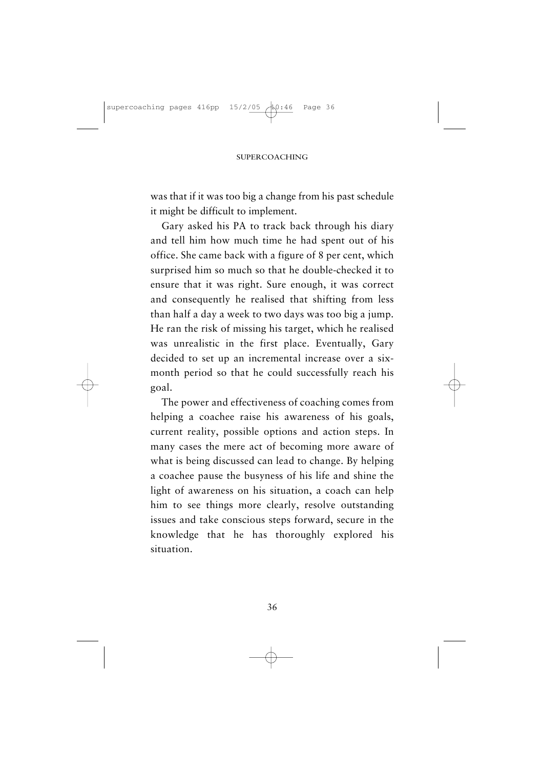was that if it was too big a change from his past schedule it might be difficult to implement.

Gary asked his PA to track back through his diary and tell him how much time he had spent out of his office. She came back with a figure of 8 per cent, which surprised him so much so that he double-checked it to ensure that it was right. Sure enough, it was correct and consequently he realised that shifting from less than half a day a week to two days was too big a jump. He ran the risk of missing his target, which he realised was unrealistic in the first place. Eventually, Gary decided to set up an incremental increase over a sixmonth period so that he could successfully reach his goal.

The power and effectiveness of coaching comes from helping a coachee raise his awareness of his goals, current reality, possible options and action steps. In many cases the mere act of becoming more aware of what is being discussed can lead to change. By helping a coachee pause the busyness of his life and shine the light of awareness on his situation, a coach can help him to see things more clearly, resolve outstanding issues and take conscious steps forward, secure in the knowledge that he has thoroughly explored his situation.

36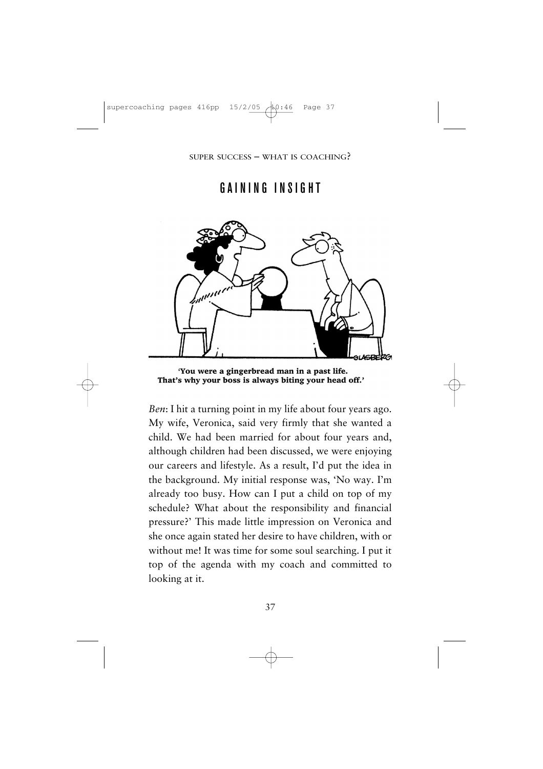## GAINING INSIGHT



'You were a gingerbread man in a past life. That's why your boss is always biting your head off.'

*Ben*: I hit a turning point in my life about four years ago. My wife, Veronica, said very firmly that she wanted a child. We had been married for about four years and, although children had been discussed, we were enjoying our careers and lifestyle. As a result, I'd put the idea in the background. My initial response was, 'No way. I'm already too busy. How can I put a child on top of my schedule? What about the responsibility and financial pressure?' This made little impression on Veronica and she once again stated her desire to have children, with or without me! It was time for some soul searching. I put it top of the agenda with my coach and committed to looking at it.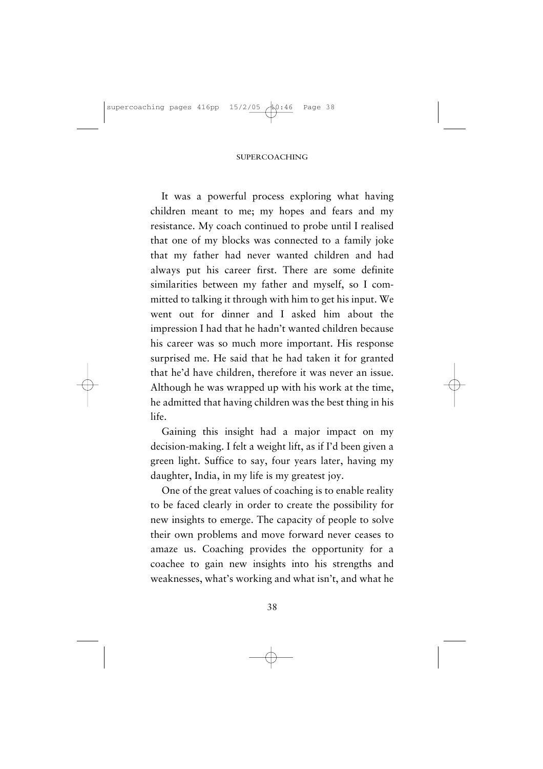It was a powerful process exploring what having children meant to me; my hopes and fears and my resistance. My coach continued to probe until I realised that one of my blocks was connected to a family joke that my father had never wanted children and had always put his career first. There are some definite similarities between my father and myself, so I committed to talking it through with him to get his input. We went out for dinner and I asked him about the impression I had that he hadn't wanted children because his career was so much more important. His response surprised me. He said that he had taken it for granted that he'd have children, therefore it was never an issue. Although he was wrapped up with his work at the time, he admitted that having children was the best thing in his life.

Gaining this insight had a major impact on my decision-making. I felt a weight lift, as if I'd been given a green light. Suffice to say, four years later, having my daughter, India, in my life is my greatest joy.

One of the great values of coaching is to enable reality to be faced clearly in order to create the possibility for new insights to emerge. The capacity of people to solve their own problems and move forward never ceases to amaze us. Coaching provides the opportunity for a coachee to gain new insights into his strengths and weaknesses, what's working and what isn't, and what he

38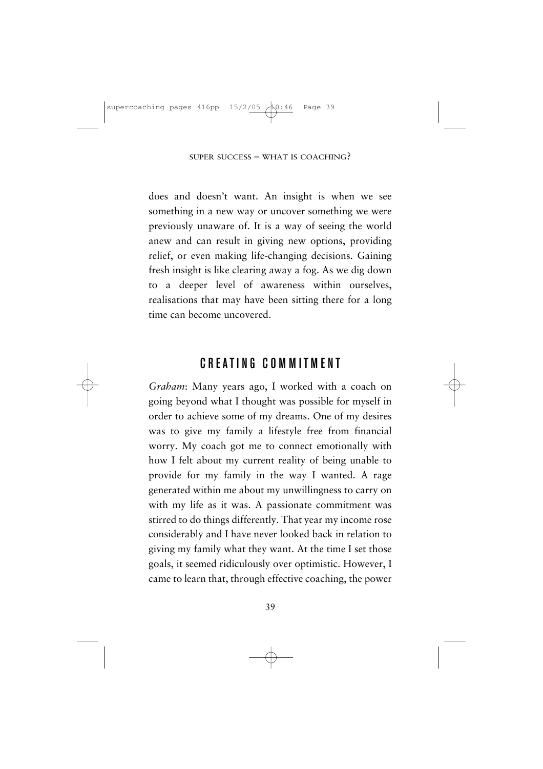does and doesn't want. An insight is when we see something in a new way or uncover something we were previously unaware of. It is a way of seeing the world anew and can result in giving new options, providing relief, or even making life-changing decisions. Gaining fresh insight is like clearing away a fog. As we dig down to a deeper level of awareness within ourselves, realisations that may have been sitting there for a long time can become uncovered.

## CREATING COMMITMENT

*Graham*: Many years ago, I worked with a coach on going beyond what I thought was possible for myself in order to achieve some of my dreams. One of my desires was to give my family a lifestyle free from financial worry. My coach got me to connect emotionally with how I felt about my current reality of being unable to provide for my family in the way I wanted. A rage generated within me about my unwillingness to carry on with my life as it was. A passionate commitment was stirred to do things differently. That year my income rose considerably and I have never looked back in relation to giving my family what they want. At the time I set those goals, it seemed ridiculously over optimistic. However, I came to learn that, through effective coaching, the power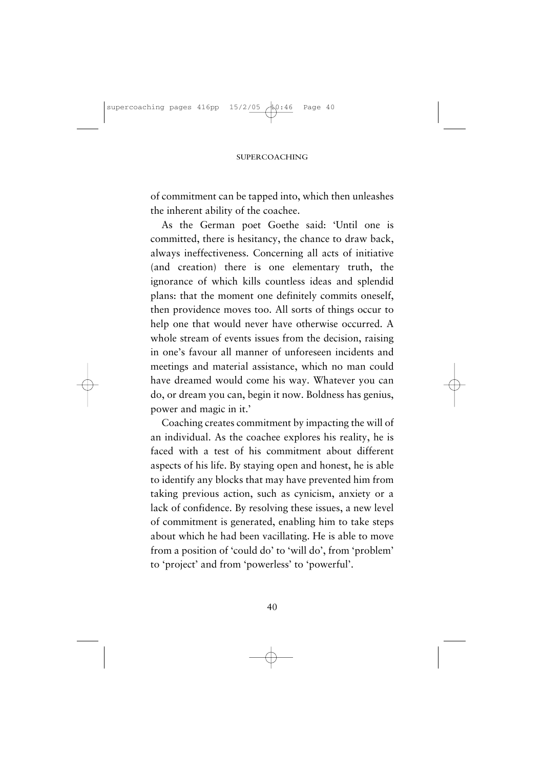of commitment can be tapped into, which then unleashes the inherent ability of the coachee.

As the German poet Goethe said: 'Until one is committed, there is hesitancy, the chance to draw back, always ineffectiveness. Concerning all acts of initiative (and creation) there is one elementary truth, the ignorance of which kills countless ideas and splendid plans: that the moment one definitely commits oneself, then providence moves too. All sorts of things occur to help one that would never have otherwise occurred. A whole stream of events issues from the decision, raising in one's favour all manner of unforeseen incidents and meetings and material assistance, which no man could have dreamed would come his way. Whatever you can do, or dream you can, begin it now. Boldness has genius, power and magic in it.'

Coaching creates commitment by impacting the will of an individual. As the coachee explores his reality, he is faced with a test of his commitment about different aspects of his life. By staying open and honest, he is able to identify any blocks that may have prevented him from taking previous action, such as cynicism, anxiety or a lack of confidence. By resolving these issues, a new level of commitment is generated, enabling him to take steps about which he had been vacillating. He is able to move from a position of 'could do' to 'will do', from 'problem' to 'project' and from 'powerless' to 'powerful'.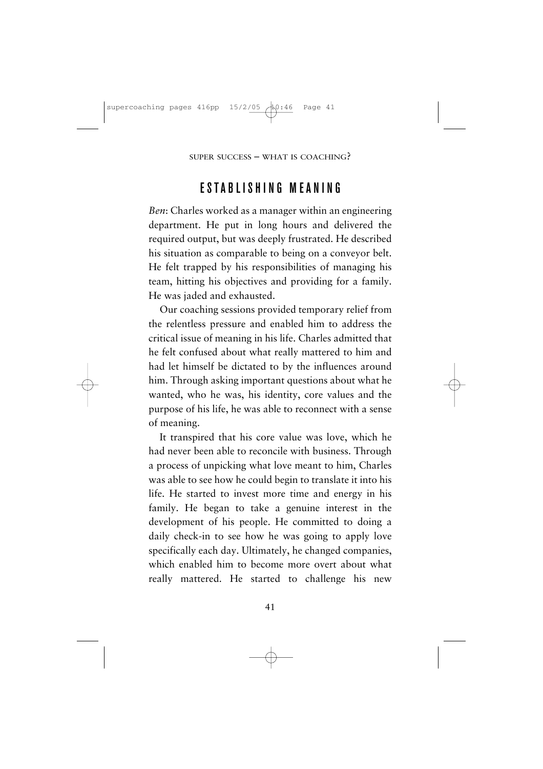## ESTABLISHING MEANING

*Ben*: Charles worked as a manager within an engineering department. He put in long hours and delivered the required output, but was deeply frustrated. He described his situation as comparable to being on a conveyor belt. He felt trapped by his responsibilities of managing his team, hitting his objectives and providing for a family. He was jaded and exhausted.

Our coaching sessions provided temporary relief from the relentless pressure and enabled him to address the critical issue of meaning in his life. Charles admitted that he felt confused about what really mattered to him and had let himself be dictated to by the influences around him. Through asking important questions about what he wanted, who he was, his identity, core values and the purpose of his life, he was able to reconnect with a sense of meaning.

It transpired that his core value was love, which he had never been able to reconcile with business. Through a process of unpicking what love meant to him, Charles was able to see how he could begin to translate it into his life. He started to invest more time and energy in his family. He began to take a genuine interest in the development of his people. He committed to doing a daily check-in to see how he was going to apply love specifically each day. Ultimately, he changed companies, which enabled him to become more overt about what really mattered. He started to challenge his new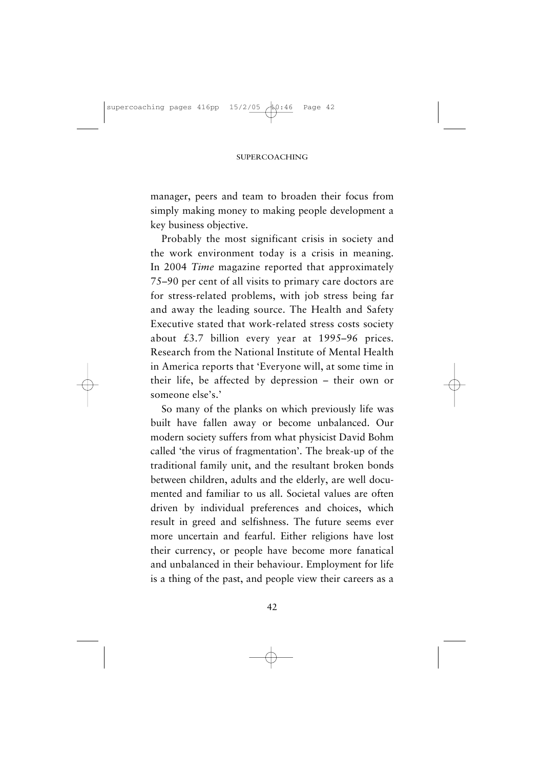manager, peers and team to broaden their focus from simply making money to making people development a key business objective.

Probably the most significant crisis in society and the work environment today is a crisis in meaning. In 2004 *Time* magazine reported that approximately 75–90 per cent of all visits to primary care doctors are for stress-related problems, with job stress being far and away the leading source. The Health and Safety Executive stated that work-related stress costs society about £3.7 billion every year at 1995–96 prices. Research from the National Institute of Mental Health in America reports that 'Everyone will, at some time in their life, be affected by depression – their own or someone else's.'

So many of the planks on which previously life was built have fallen away or become unbalanced. Our modern society suffers from what physicist David Bohm called 'the virus of fragmentation'. The break-up of the traditional family unit, and the resultant broken bonds between children, adults and the elderly, are well documented and familiar to us all. Societal values are often driven by individual preferences and choices, which result in greed and selfishness. The future seems ever more uncertain and fearful. Either religions have lost their currency, or people have become more fanatical and unbalanced in their behaviour. Employment for life is a thing of the past, and people view their careers as a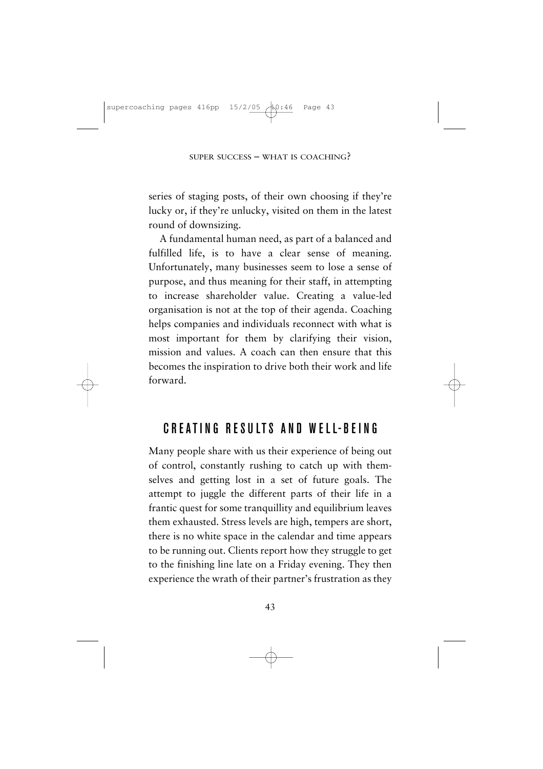series of staging posts, of their own choosing if they're lucky or, if they're unlucky, visited on them in the latest round of downsizing.

A fundamental human need, as part of a balanced and fulfilled life, is to have a clear sense of meaning. Unfortunately, many businesses seem to lose a sense of purpose, and thus meaning for their staff, in attempting to increase shareholder value. Creating a value-led organisation is not at the top of their agenda. Coaching helps companies and individuals reconnect with what is most important for them by clarifying their vision, mission and values. A coach can then ensure that this becomes the inspiration to drive both their work and life forward.

# CREATING RESULTS AND WELL-REING

Many people share with us their experience of being out of control, constantly rushing to catch up with themselves and getting lost in a set of future goals. The attempt to juggle the different parts of their life in a frantic quest for some tranquillity and equilibrium leaves them exhausted. Stress levels are high, tempers are short, there is no white space in the calendar and time appears to be running out. Clients report how they struggle to get to the finishing line late on a Friday evening. They then experience the wrath of their partner's frustration as they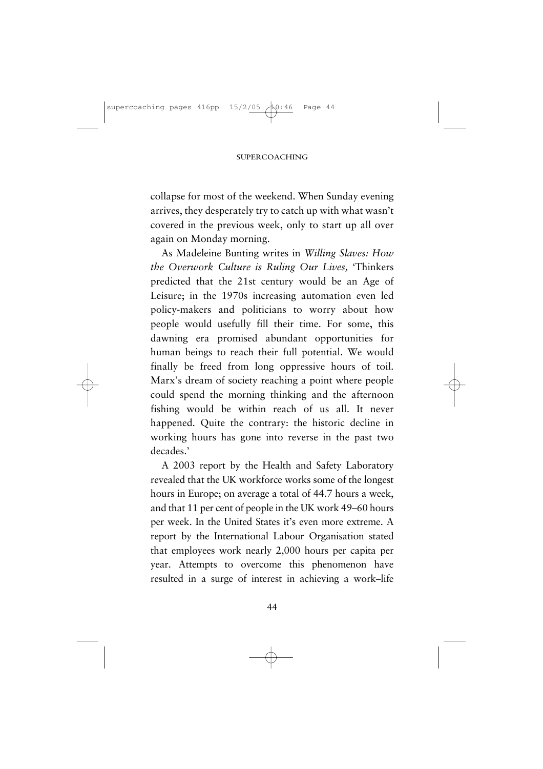collapse for most of the weekend. When Sunday evening arrives, they desperately try to catch up with what wasn't covered in the previous week, only to start up all over again on Monday morning.

As Madeleine Bunting writes in *Willing Slaves: How the Overwork Culture is Ruling Our Lives,* 'Thinkers predicted that the 21st century would be an Age of Leisure; in the 1970s increasing automation even led policy-makers and politicians to worry about how people would usefully fill their time. For some, this dawning era promised abundant opportunities for human beings to reach their full potential. We would finally be freed from long oppressive hours of toil. Marx's dream of society reaching a point where people could spend the morning thinking and the afternoon fishing would be within reach of us all. It never happened. Quite the contrary: the historic decline in working hours has gone into reverse in the past two decades.'

A 2003 report by the Health and Safety Laboratory revealed that the UK workforce works some of the longest hours in Europe; on average a total of 44.7 hours a week, and that 11 per cent of people in the UK work 49–60 hours per week. In the United States it's even more extreme. A report by the International Labour Organisation stated that employees work nearly 2,000 hours per capita per year. Attempts to overcome this phenomenon have resulted in a surge of interest in achieving a work–life

44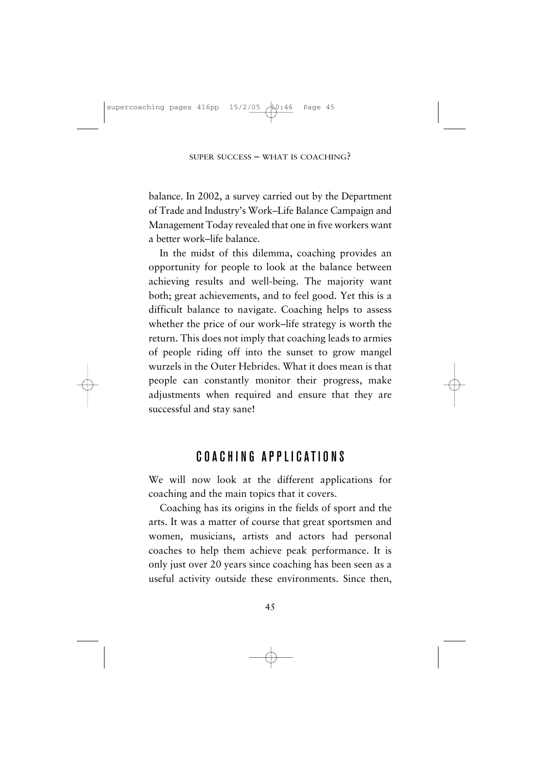balance. In 2002, a survey carried out by the Department of Trade and Industry's Work–Life Balance Campaign and Management Today revealed that one in five workers want a better work–life balance.

In the midst of this dilemma, coaching provides an opportunity for people to look at the balance between achieving results and well-being. The majority want both; great achievements, and to feel good. Yet this is a difficult balance to navigate. Coaching helps to assess whether the price of our work–life strategy is worth the return. This does not imply that coaching leads to armies of people riding off into the sunset to grow mangel wurzels in the Outer Hebrides. What it does mean is that people can constantly monitor their progress, make adjustments when required and ensure that they are successful and stay sane!

## COACHING APPLICATIONS

We will now look at the different applications for coaching and the main topics that it covers.

Coaching has its origins in the fields of sport and the arts. It was a matter of course that great sportsmen and women, musicians, artists and actors had personal coaches to help them achieve peak performance. It is only just over 20 years since coaching has been seen as a useful activity outside these environments. Since then,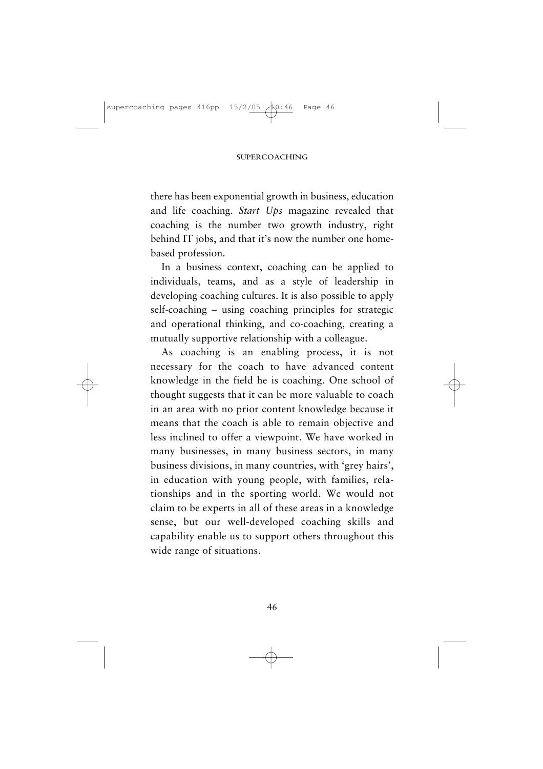there has been exponential growth in business, education and life coaching. *Start Ups* magazine revealed that coaching is the number two growth industry, right behind IT jobs, and that it's now the number one homebased profession.

In a business context, coaching can be applied to individuals, teams, and as a style of leadership in developing coaching cultures. It is also possible to apply self-coaching – using coaching principles for strategic and operational thinking, and co-coaching, creating a mutually supportive relationship with a colleague.

As coaching is an enabling process, it is not necessary for the coach to have advanced content knowledge in the field he is coaching. One school of thought suggests that it can be more valuable to coach in an area with no prior content knowledge because it means that the coach is able to remain objective and less inclined to offer a viewpoint. We have worked in many businesses, in many business sectors, in many business divisions, in many countries, with 'grey hairs', in education with young people, with families, relationships and in the sporting world. We would not claim to be experts in all of these areas in a knowledge sense, but our well-developed coaching skills and capability enable us to support others throughout this wide range of situations.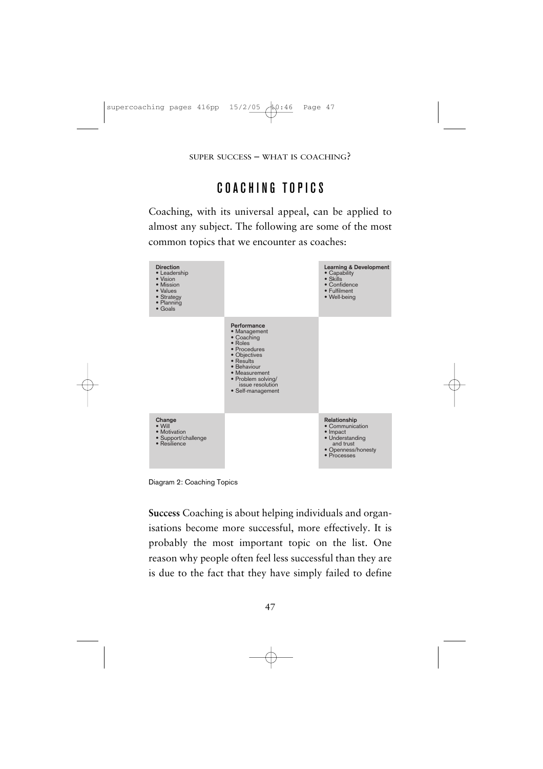# COACHING TOPICS

Coaching, with its universal appeal, can be applied to almost any subject. The following are some of the most common topics that we encounter as coaches:



Diagram 2: Coaching Topics

**Success** Coaching is about helping individuals and organisations become more successful, more effectively. It is probably the most important topic on the list. One reason why people often feel less successful than they are is due to the fact that they have simply failed to define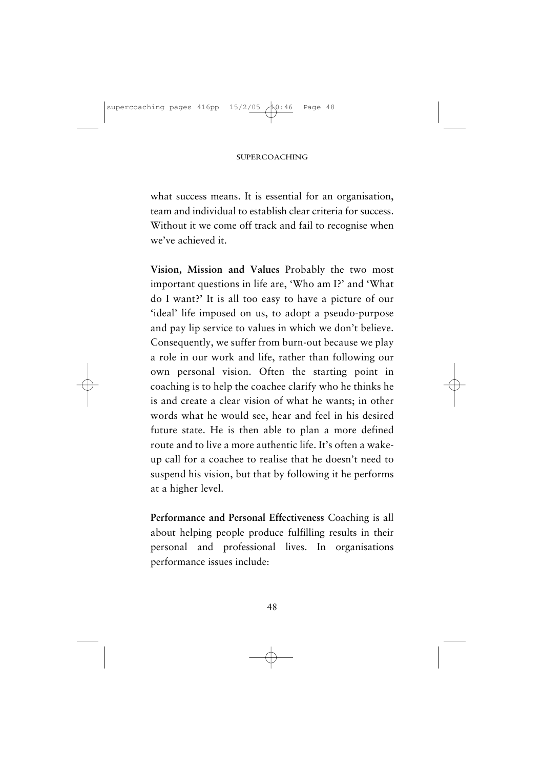what success means. It is essential for an organisation, team and individual to establish clear criteria for success. Without it we come off track and fail to recognise when we've achieved it.

**Vision, Mission and Values** Probably the two most important questions in life are, 'Who am I?' and 'What do I want?' It is all too easy to have a picture of our 'ideal' life imposed on us, to adopt a pseudo-purpose and pay lip service to values in which we don't believe. Consequently, we suffer from burn-out because we play a role in our work and life, rather than following our own personal vision. Often the starting point in coaching is to help the coachee clarify who he thinks he is and create a clear vision of what he wants; in other words what he would see, hear and feel in his desired future state. He is then able to plan a more defined route and to live a more authentic life. It's often a wakeup call for a coachee to realise that he doesn't need to suspend his vision, but that by following it he performs at a higher level.

**Performance and Personal Effectiveness** Coaching is all about helping people produce fulfilling results in their personal and professional lives. In organisations performance issues include:

48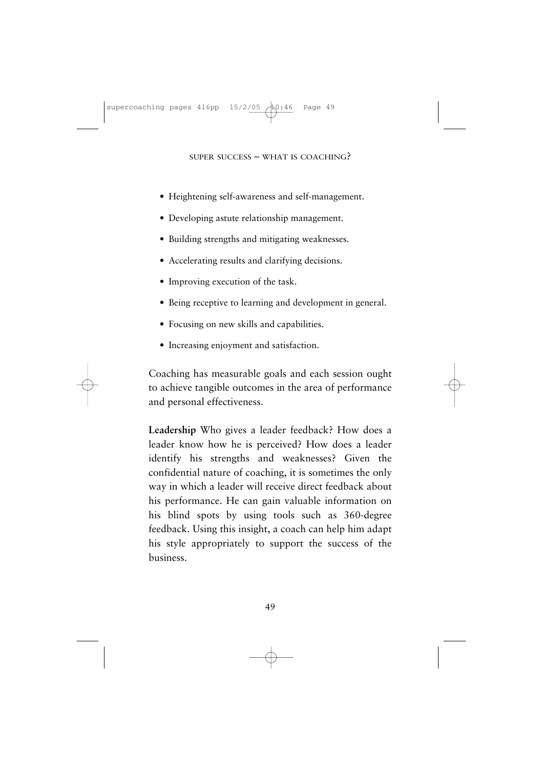- Heightening self-awareness and self-management.
- Developing astute relationship management.
- Building strengths and mitigating weaknesses.
- Accelerating results and clarifying decisions.
- Improving execution of the task.
- Being receptive to learning and development in general.
- Focusing on new skills and capabilities.
- Increasing enjoyment and satisfaction.

Coaching has measurable goals and each session ought to achieve tangible outcomes in the area of performance and personal effectiveness.

**Leadership** Who gives a leader feedback? How does a leader know how he is perceived? How does a leader identify his strengths and weaknesses? Given the confidential nature of coaching, it is sometimes the only way in which a leader will receive direct feedback about his performance. He can gain valuable information on his blind spots by using tools such as 360-degree feedback. Using this insight, a coach can help him adapt his style appropriately to support the success of the business.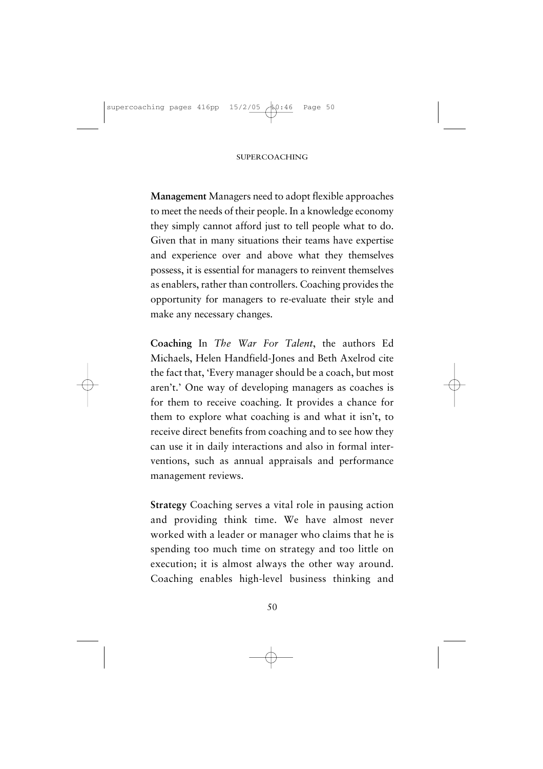**Management** Managers need to adopt flexible approaches to meet the needs of their people. In a knowledge economy they simply cannot afford just to tell people what to do. Given that in many situations their teams have expertise and experience over and above what they themselves possess, it is essential for managers to reinvent themselves as enablers, rather than controllers. Coaching provides the opportunity for managers to re-evaluate their style and make any necessary changes.

**Coaching** In *The War For Talent*, the authors Ed Michaels, Helen Handfield-Jones and Beth Axelrod cite the fact that, 'Every manager should be a coach, but most aren't.' One way of developing managers as coaches is for them to receive coaching. It provides a chance for them to explore what coaching is and what it isn't, to receive direct benefits from coaching and to see how they can use it in daily interactions and also in formal interventions, such as annual appraisals and performance management reviews.

**Strategy** Coaching serves a vital role in pausing action and providing think time. We have almost never worked with a leader or manager who claims that he is spending too much time on strategy and too little on execution; it is almost always the other way around. Coaching enables high-level business thinking and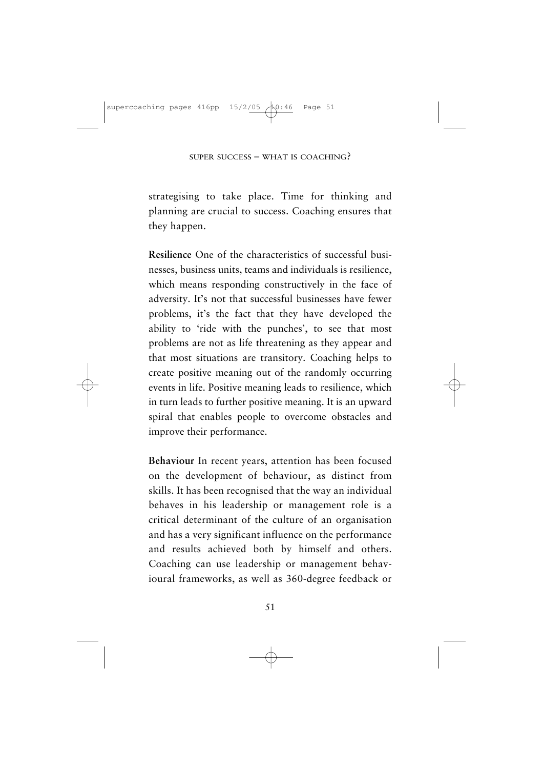strategising to take place. Time for thinking and planning are crucial to success. Coaching ensures that they happen.

**Resilience** One of the characteristics of successful businesses, business units, teams and individuals is resilience, which means responding constructively in the face of adversity. It's not that successful businesses have fewer problems, it's the fact that they have developed the ability to 'ride with the punches', to see that most problems are not as life threatening as they appear and that most situations are transitory. Coaching helps to create positive meaning out of the randomly occurring events in life. Positive meaning leads to resilience, which in turn leads to further positive meaning. It is an upward spiral that enables people to overcome obstacles and improve their performance.

**Behaviour** In recent years, attention has been focused on the development of behaviour, as distinct from skills. It has been recognised that the way an individual behaves in his leadership or management role is a critical determinant of the culture of an organisation and has a very significant influence on the performance and results achieved both by himself and others. Coaching can use leadership or management behavioural frameworks, as well as 360-degree feedback or

51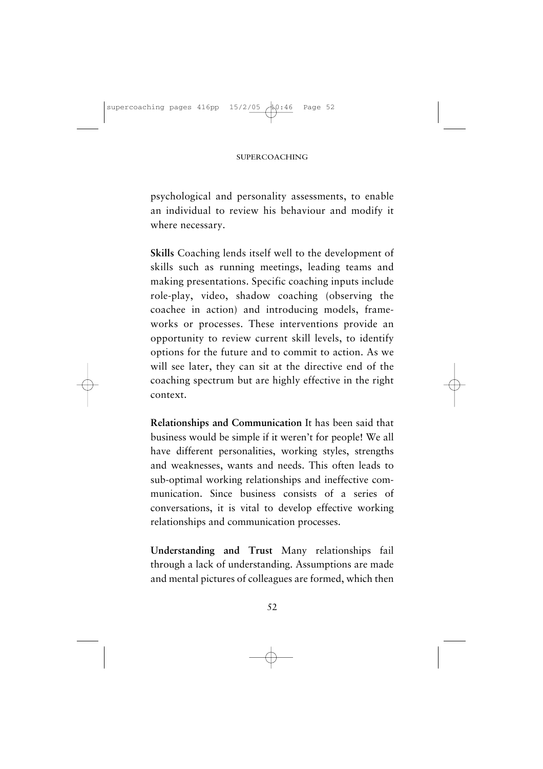psychological and personality assessments, to enable an individual to review his behaviour and modify it where necessary.

**Skills** Coaching lends itself well to the development of skills such as running meetings, leading teams and making presentations. Specific coaching inputs include role-play, video, shadow coaching (observing the coachee in action) and introducing models, frameworks or processes. These interventions provide an opportunity to review current skill levels, to identify options for the future and to commit to action. As we will see later, they can sit at the directive end of the coaching spectrum but are highly effective in the right context.

**Relationships and Communication** It has been said that business would be simple if it weren't for people! We all have different personalities, working styles, strengths and weaknesses, wants and needs. This often leads to sub-optimal working relationships and ineffective communication. Since business consists of a series of conversations, it is vital to develop effective working relationships and communication processes.

**Understanding and Trust** Many relationships fail through a lack of understanding. Assumptions are made and mental pictures of colleagues are formed, which then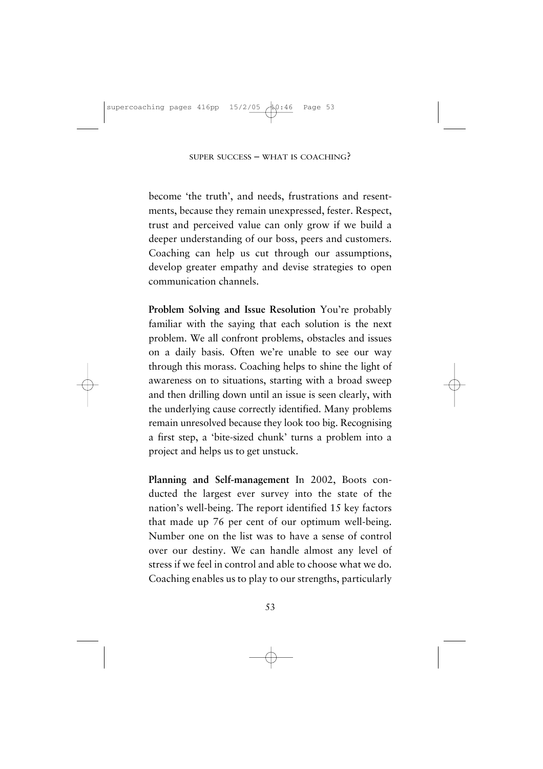become 'the truth', and needs, frustrations and resentments, because they remain unexpressed, fester. Respect, trust and perceived value can only grow if we build a deeper understanding of our boss, peers and customers. Coaching can help us cut through our assumptions, develop greater empathy and devise strategies to open communication channels.

**Problem Solving and Issue Resolution** You're probably familiar with the saying that each solution is the next problem. We all confront problems, obstacles and issues on a daily basis. Often we're unable to see our way through this morass. Coaching helps to shine the light of awareness on to situations, starting with a broad sweep and then drilling down until an issue is seen clearly, with the underlying cause correctly identified. Many problems remain unresolved because they look too big. Recognising a first step, a 'bite-sized chunk' turns a problem into a project and helps us to get unstuck.

**Planning and Self-management** In 2002, Boots conducted the largest ever survey into the state of the nation's well-being. The report identified 15 key factors that made up 76 per cent of our optimum well-being. Number one on the list was to have a sense of control over our destiny. We can handle almost any level of stress if we feel in control and able to choose what we do. Coaching enables us to play to our strengths, particularly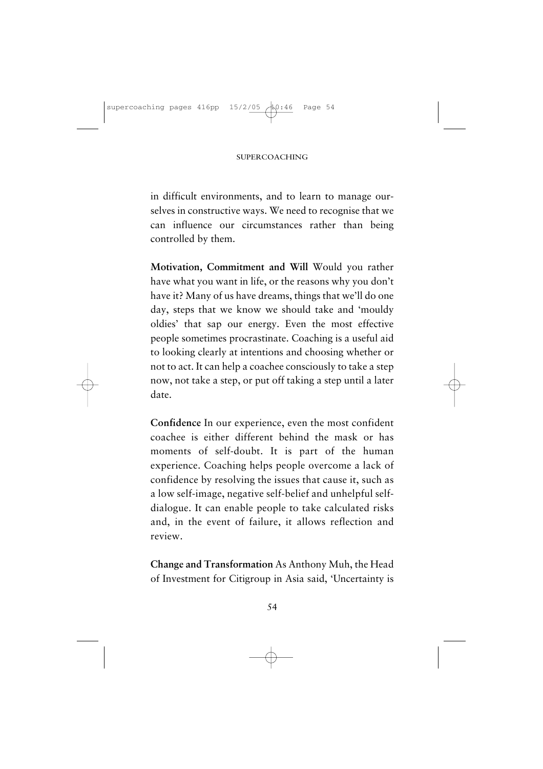in difficult environments, and to learn to manage ourselves in constructive ways. We need to recognise that we can influence our circumstances rather than being controlled by them.

**Motivation, Commitment and Will** Would you rather have what you want in life, or the reasons why you don't have it? Many of us have dreams, things that we'll do one day, steps that we know we should take and 'mouldy oldies' that sap our energy. Even the most effective people sometimes procrastinate. Coaching is a useful aid to looking clearly at intentions and choosing whether or not to act. It can help a coachee consciously to take a step now, not take a step, or put off taking a step until a later date.

**Confidence** In our experience, even the most confident coachee is either different behind the mask or has moments of self-doubt. It is part of the human experience. Coaching helps people overcome a lack of confidence by resolving the issues that cause it, such as a low self-image, negative self-belief and unhelpful selfdialogue. It can enable people to take calculated risks and, in the event of failure, it allows reflection and review.

**Change and Transformation** As Anthony Muh, the Head of Investment for Citigroup in Asia said, 'Uncertainty is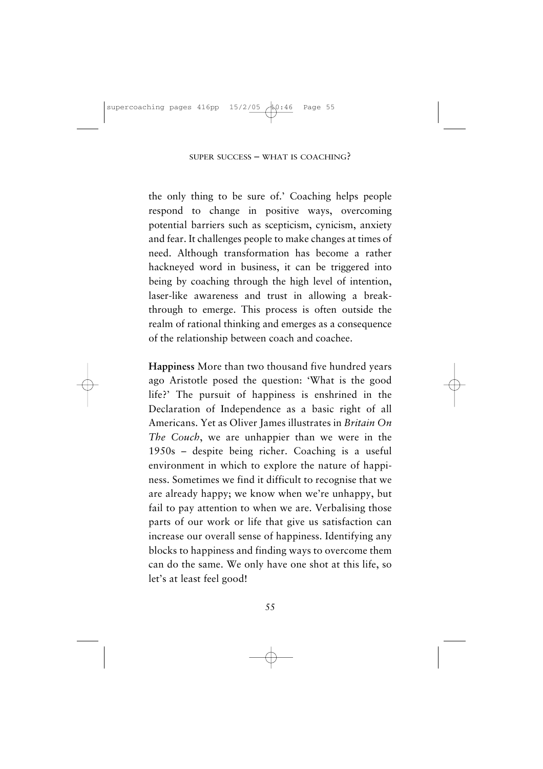the only thing to be sure of.' Coaching helps people respond to change in positive ways, overcoming potential barriers such as scepticism, cynicism, anxiety and fear. It challenges people to make changes at times of need. Although transformation has become a rather hackneyed word in business, it can be triggered into being by coaching through the high level of intention, laser-like awareness and trust in allowing a breakthrough to emerge. This process is often outside the realm of rational thinking and emerges as a consequence of the relationship between coach and coachee.

**Happiness** More than two thousand five hundred years ago Aristotle posed the question: 'What is the good life?' The pursuit of happiness is enshrined in the Declaration of Independence as a basic right of all Americans. Yet as Oliver James illustrates in *Britain On The Couch*, we are unhappier than we were in the 1950s – despite being richer. Coaching is a useful environment in which to explore the nature of happiness. Sometimes we find it difficult to recognise that we are already happy; we know when we're unhappy, but fail to pay attention to when we are. Verbalising those parts of our work or life that give us satisfaction can increase our overall sense of happiness. Identifying any blocks to happiness and finding ways to overcome them can do the same. We only have one shot at this life, so let's at least feel good!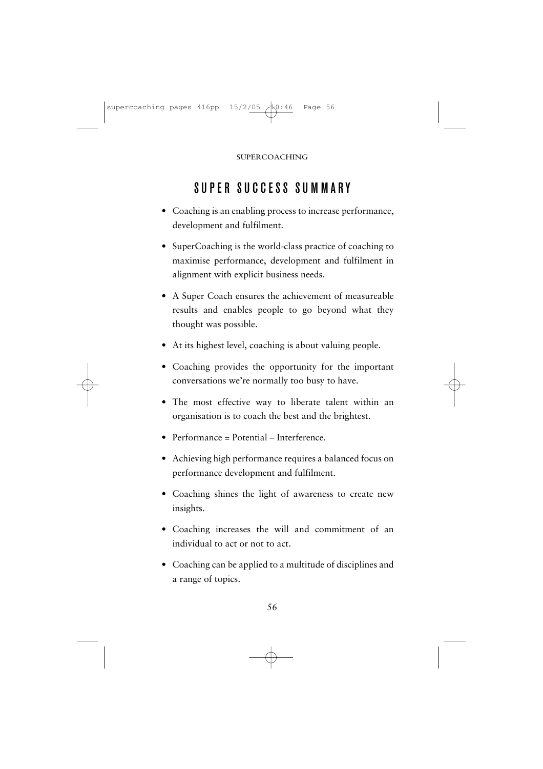# SUPER SUCCESS SUMMARY

- Coaching is an enabling process to increase performance, development and fulfilment.
- SuperCoaching is the world-class practice of coaching to maximise performance, development and fulfilment in alignment with explicit business needs.
- A Super Coach ensures the achievement of measureable results and enables people to go beyond what they thought was possible.
- At its highest level, coaching is about valuing people.
- Coaching provides the opportunity for the important conversations we're normally too busy to have.
- The most effective way to liberate talent within an organisation is to coach the best and the brightest.
- Performance = Potential Interference.
- Achieving high performance requires a balanced focus on performance development and fulfilment.
- Coaching shines the light of awareness to create new insights.
- Coaching increases the will and commitment of an individual to act or not to act.
- Coaching can be applied to a multitude of disciplines and a range of topics.